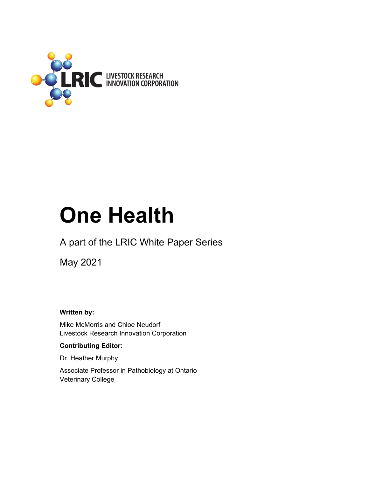

# **One Health**

## A part of the LRIC White Paper Series

May 2021

**Written by:** 

Mike McMorris and Chloe Neudorf Livestock Research Innovation Corporation

#### **Contributing Editor:**

Dr. Heather Murphy

Associate Professor in Pathobiology at Ontario Veterinary College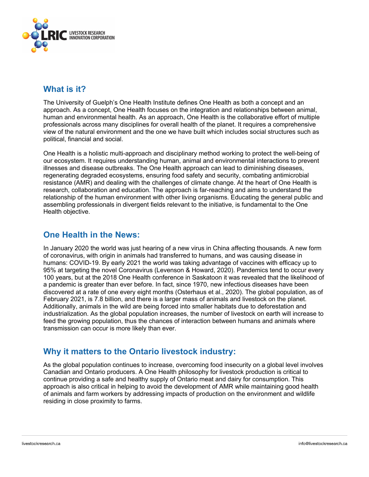

## **What is it?**

The University of Guelph's One Health Institute defines One Health as both a concept and an approach. As a concept, One Health focuses on the integration and relationships between animal, human and environmental health. As an approach, One Health is the collaborative effort of multiple professionals across many disciplines for overall health of the planet. It requires a comprehensive view of the natural environment and the one we have built which includes social structures such as political, financial and social.

One Health is a holistic multi-approach and disciplinary method working to protect the well-being of our ecosystem. It requires understanding human, animal and environmental interactions to prevent illnesses and disease outbreaks. The One Health approach can lead to diminishing diseases, regenerating degraded ecosystems, ensuring food safety and security, combating antimicrobial resistance (AMR) and dealing with the challenges of climate change. At the heart of One Health is research, collaboration and education. The approach is far-reaching and aims to understand the relationship of the human environment with other living organisms. Educating the general public and assembling professionals in divergent fields relevant to the initiative, is fundamental to the One Health objective.

## **One Health in the News:**

In January 2020 the world was just hearing of a new virus in China affecting thousands. A new form of coronavirus, with origin in animals had transferred to humans, and was causing disease in humans: COVID-19. By early 2021 the world was taking advantage of vaccines with efficacy up to 95% at targeting the novel Coronavirus (Levenson & Howard, 2020). Pandemics tend to occur every 100 years, but at the 2018 One Health conference in Saskatoon it was revealed that the likelihood of a pandemic is greater than ever before. In fact, since 1970, new infectious diseases have been discovered at a rate of one every eight months (Osterhaus et al., 2020). The global population, as of February 2021, is 7.8 billion, and there is a larger mass of animals and livestock on the planet. Additionally, animals in the wild are being forced into smaller habitats due to deforestation and industrialization. As the global population increases, the number of livestock on earth will increase to feed the growing population, thus the chances of interaction between humans and animals where transmission can occur is more likely than ever.

## **Why it matters to the Ontario livestock industry:**

As the global population continues to increase, overcoming food insecurity on a global level involves Canadian and Ontario producers. A One Health philosophy for livestock production is critical to continue providing a safe and healthy supply of Ontario meat and dairy for consumption. This approach is also critical in helping to avoid the development of AMR while maintaining good health of animals and farm workers by addressing impacts of production on the environment and wildlife residing in close proximity to farms.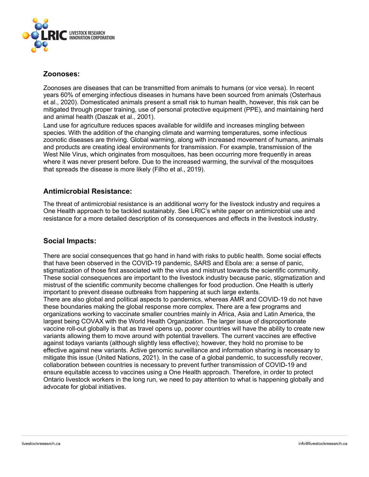

#### **Zoonoses:**

Zoonoses are diseases that can be transmitted from animals to humans (or vice versa). In recent years 60% of emerging infectious diseases in humans have been sourced from animals (Osterhaus et al., 2020). Domesticated animals present a small risk to human health, however, this risk can be mitigated through proper training, use of personal protective equipment (PPE), and maintaining herd and animal health (Daszak et al., 2001).

Land use for agriculture reduces spaces available for wildlife and increases mingling between species. With the addition of the changing climate and warming temperatures, some infectious zoonotic diseases are thriving. Global warming, along with increased movement of humans, animals and products are creating ideal environments for transmission. For example, transmission of the West Nile Virus, which originates from mosquitoes, has been occurring more frequently in areas where it was never present before. Due to the increased warming, the survival of the mosquitoes that spreads the disease is more likely (Filho et al., 2019).

#### **Antimicrobial Resistance:**

The threat of antimicrobial resistance is an additional worry for the livestock industry and requires a One Health approach to be tackled sustainably. See LRIC's white paper on antimicrobial use and resistance for a more detailed description of its consequences and effects in the livestock industry.

#### **Social Impacts:**

There are social consequences that go hand in hand with risks to public health. Some social effects that have been observed in the COVID-19 pandemic, SARS and Ebola are: a sense of panic, stigmatization of those first associated with the virus and mistrust towards the scientific community. These social consequences are important to the livestock industry because panic, stigmatization and mistrust of the scientific community become challenges for food production. One Health is utterly important to prevent disease outbreaks from happening at such large extents. There are also global and political aspects to pandemics, whereas AMR and COVID-19 do not have these boundaries making the global response more complex. There are a few programs and organizations working to vaccinate smaller countries mainly in Africa, Asia and Latin America, the largest being COVAX with the World Health Organization. The larger issue of disproportionate vaccine roll-out globally is that as travel opens up, poorer countries will have the ability to create new variants allowing them to move around with potential travellers. The current vaccines are effective against todays variants (although slightly less effective); however, they hold no promise to be effective against new variants. Active genomic surveillance and information sharing is necessary to mitigate this issue (United Nations, 2021). In the case of a global pandemic, to successfully recover, collaboration between countries is necessary to prevent further transmission of COVID-19 and ensure equitable access to vaccines using a One Health approach. Therefore, in order to protect Ontario livestock workers in the long run, we need to pay attention to what is happening globally and advocate for global initiatives.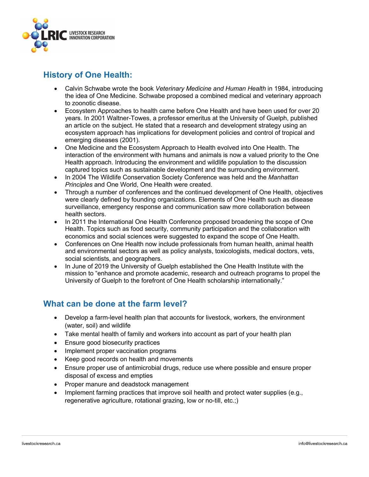

## **History of One Health:**

- Calvin Schwabe wrote the book *Veterinary Medicine and Human Health* in 1984, introducing the idea of One Medicine. Schwabe proposed a combined medical and veterinary approach to zoonotic disease.
- Ecosystem Approaches to health came before One Health and have been used for over 20 years. In 2001 Waltner-Towes, a professor emeritus at the University of Guelph, published an article on the subject. He stated that a research and development strategy using an ecosystem approach has implications for development policies and control of tropical and emerging diseases (2001).
- One Medicine and the Ecosystem Approach to Health evolved into One Health. The interaction of the environment with humans and animals is now a valued priority to the One Health approach. Introducing the environment and wildlife population to the discussion captured topics such as sustainable development and the surrounding environment.
- In 2004 The Wildlife Conservation Society Conference was held and the *Manhattan Principles* and One World, One Health were created.
- Through a number of conferences and the continued development of One Health, objectives were clearly defined by founding organizations. Elements of One Health such as disease surveillance, emergency response and communication saw more collaboration between health sectors.
- In 2011 the International One Health Conference proposed broadening the scope of One Health. Topics such as food security, community participation and the collaboration with economics and social sciences were suggested to expand the scope of One Health.
- Conferences on One Health now include professionals from human health, animal health and environmental sectors as well as policy analysts, toxicologists, medical doctors, vets, social scientists, and geographers.
- In June of 2019 the University of Guelph established the One Health Institute with the mission to "enhance and promote academic, research and outreach programs to propel the University of Guelph to the forefront of One Health scholarship internationally."

## **What can be done at the farm level?**

- Develop a farm-level health plan that accounts for livestock, workers, the environment (water, soil) and wildlife
- Take mental health of family and workers into account as part of your health plan
- Ensure good biosecurity practices
- Implement proper vaccination programs
- Keep good records on health and movements
- Ensure proper use of antimicrobial drugs, reduce use where possible and ensure proper disposal of excess and empties
- Proper manure and deadstock management
- Implement farming practices that improve soil health and protect water supplies (e.g., regenerative agriculture, rotational grazing, low or no-till, etc.;)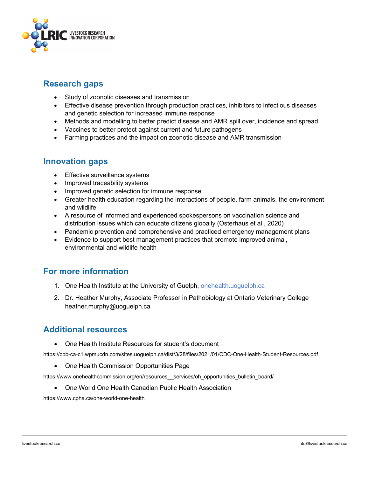

## **Research gaps**

- Study of zoonotic diseases and transmission
- Effective disease prevention through production practices, inhibitors to infectious diseases and genetic selection for increased immune response
- Methods and modelling to better predict disease and AMR spill over, incidence and spread
- Vaccines to better protect against current and future pathogens
- Farming practices and the impact on zoonotic disease and AMR transmission

## **Innovation gaps**

- Effective surveillance systems
- Improved traceability systems
- Improved genetic selection for immune response
- Greater health education regarding the interactions of people, farm animals, the environment and wildlife
- A resource of informed and experienced spokespersons on vaccination science and distribution issues which can educate citizens globally (Osterhaus et al., 2020)
- Pandemic prevention and comprehensive and practiced emergency management plans
- Evidence to support best management practices that promote improved animal, environmental and wildlife health

## **For more information**

- 1. One Health Institute at the University of Guelph, onehealth.uoguelph.ca
- 2. Dr. Heather Murphy, Associate Professor in Pathobiology at Ontario Veterinary College heather.murphy@uoguelph.ca

## **Additional resources**

• One Health Institute Resources for student's document

https://cpb-ca-c1.wpmucdn.com/sites.uoguelph.ca/dist/3/28/files/2021/01/CDC-One-Health-Student-Resources.pdf

• One Health Commission Opportunities Page

https://www.onehealthcommission.org/en/resources\_\_services/oh\_opportunities\_bulletin\_board/

• One World One Health Canadian Public Health Association

https://www.cpha.ca/one-world-one-health